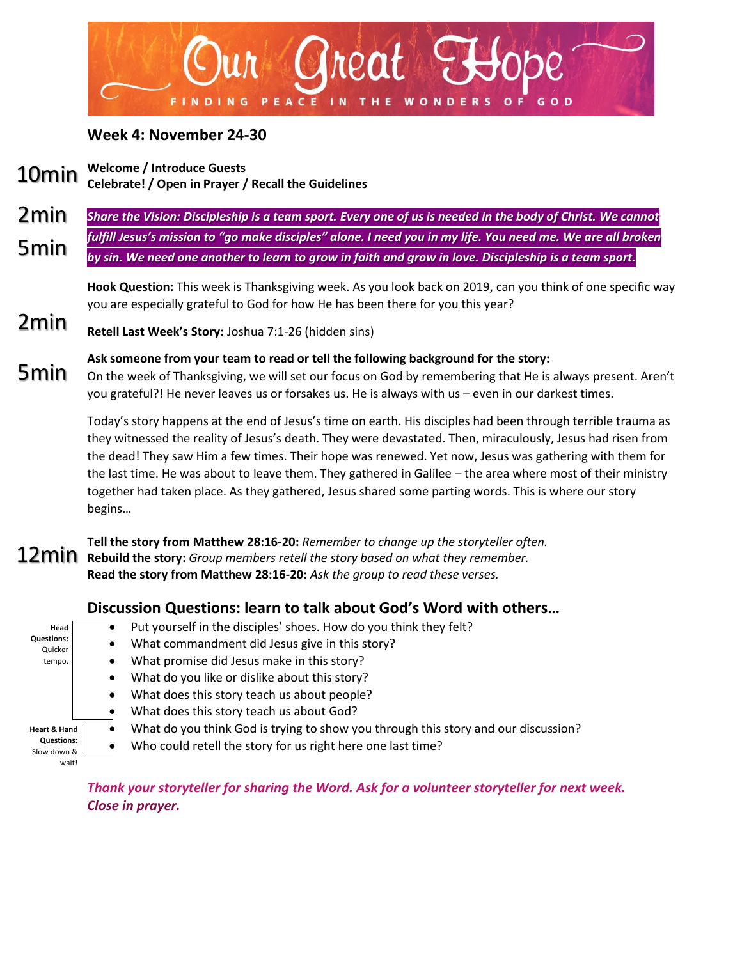

### **Week 4: November 24-30**

**Welcome / Introduce Guests Celebrate! / Open in Prayer / Recall the Guidelines** 10min

*Share the Vision: Discipleship is a team sport. Every one of us is needed in the body of Christ. We cannot fulfill Jesus's mission to "go make disciples" alone. I need you in my life. You need me. We are all broken by sin. We need one another to learn to grow in faith and grow in love. Discipleship is a team sport.* 2min 5min

> **Hook Question:** This week is Thanksgiving week. As you look back on 2019, can you think of one specific way you are especially grateful to God for how He has been there for you this year?

**Retell Last Week's Story:** Joshua 7:1-26 (hidden sins) 2min

**Ask someone from your team to read or tell the following background for the story:** On the week of Thanksgiving, we will set our focus on God by remembering that He is always present. Aren't you grateful?! He never leaves us or forsakes us. He is always with us – even in our darkest times. 5min

> Today's story happens at the end of Jesus's time on earth. His disciples had been through terrible trauma as they witnessed the reality of Jesus's death. They were devastated. Then, miraculously, Jesus had risen from the dead! They saw Him a few times. Their hope was renewed. Yet now, Jesus was gathering with them for the last time. He was about to leave them. They gathered in Galilee – the area where most of their ministry together had taken place. As they gathered, Jesus shared some parting words. This is where our story begins…

**Tell the story from Matthew 28:16-20:** *Remember to change up the storyteller often.* **Rebuild the story:** *Group members retell the story based on what they remember.* **Read the story from Matthew 28:16-20:** *Ask the group to read these verses.* 12min

#### **Discussion Questions: learn to talk about God's Word with others…**

**Head Questions:** Quicker tempo. **Heart & Hand Questions:**  Slow down & wait!  $\overline{\bullet}$  Put yourself in the disciples' shoes. How do you think they felt? • What commandment did Jesus give in this story? • What promise did Jesus make in this story? What do you like or dislike about this story? • What does this story teach us about people? • What does this story teach us about God? • What do you think God is trying to show you through this story and our discussion? • Who could retell the story for us right here one last time?

> *Thank your storyteller for sharing the Word. Ask for a volunteer storyteller for next week. Close in prayer.*